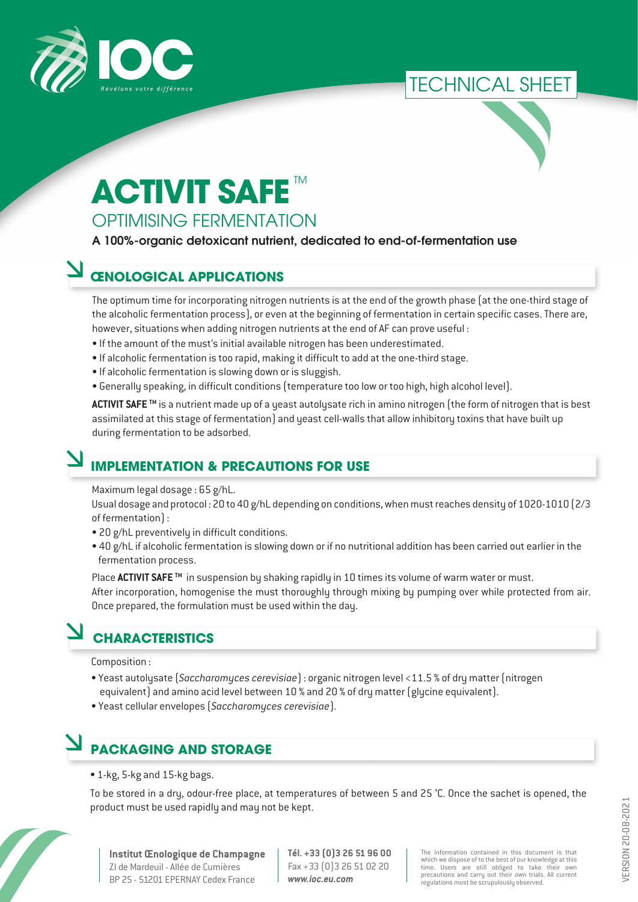

### TECHNICAL SHEET



# **ACTIVIT SAFE**

#### OPTIMISING FERMENTATION

#### A 100%-organic detoxicant nutrient, dedicated to end-of-fermentation use

#### **ŒNOLOGICAL APPLICATIONS**

The optimum time for incorporating nitrogen nutrients is at the end of the growth phase (at the one-third stage of the alcoholic fermentation process), or even at the beginning of fermentation in certain specific cases. There are, however, situations when adding nitrogen nutrients at the end of AF can prove useful :

- If the amount of the must's initial available nitrogen has been underestimated.
- If alcoholic fermentation is too rapid, making it difficult to add at the one-third stage.
- If alcoholic fermentation is slowing down or is sluggish.
- Generally speaking, in difficult conditions (temperature too low or too high, high alcohol level).

**ACTIVIT SAFE TM** is a nutrient made up of a yeast autolysate rich in amino nitrogen (the form of nitrogen that is best assimilated at this stage of fermentation) and yeast cell-walls that allow inhibitory toxins that have built up during fermentation to be adsorbed.

#### **IMPLEMENTATION & PRECAUTIONS FOR USE**

Maximum legal dosage : 65 g/hL.

Usual dosage and protocol : 20 to 40 g/hL depending on conditions, when must reaches density of 1020-1010 (2/3 of fermentation) :

- 20 g/hL preventively in difficult conditions.
- 40 g/hL if alcoholic fermentation is slowing down or if no nutritional addition has been carried out earlier in the fermentation process.

Place ACTIVIT SAFE<sup>™</sup> in suspension by shaking rapidly in 10 times its volume of warm water or must. After incorporation, homogenise the must thoroughly through mixing by pumping over while protected from air. Once prepared, the formulation must be used within the day.

#### **CHARACTERISTICS**

Composition :

- Yeast autolysate (*Saccharomyces cerevisiae*) : organic nitrogen level <11.5 % of dry matter (nitrogen equivalent) and amino acid level between 10 % and 20 % of dry matter (glycine equivalent).
- Yeast cellular envelopes (*Saccharomyces cerevisiae*).

## **PACKAGING AND STORAGE**

• 1-kg, 5-kg and 15-kg bags.

To be stored in a dry, odour-free place, at temperatures of between 5 and 25 °C. Once the sachet is opened, the product must be used rapidly and may not be kept.



**Institut Œnologique de Champagne** ZI de Mardeuil - Allée de Cumières BP 25 - 51201 EPERNAY Cedex France

**Tél. +33 (0)3 26 51 96 00** Fax +33 (0)3 26 51 02 20 *www.ioc.eu.com*

The information contained in this document is that which we dispose of to the best of our knowledge at this time. Users are still obliged to take their own precautions and carry out their own trials. All current regulations must be scrupulously observed.